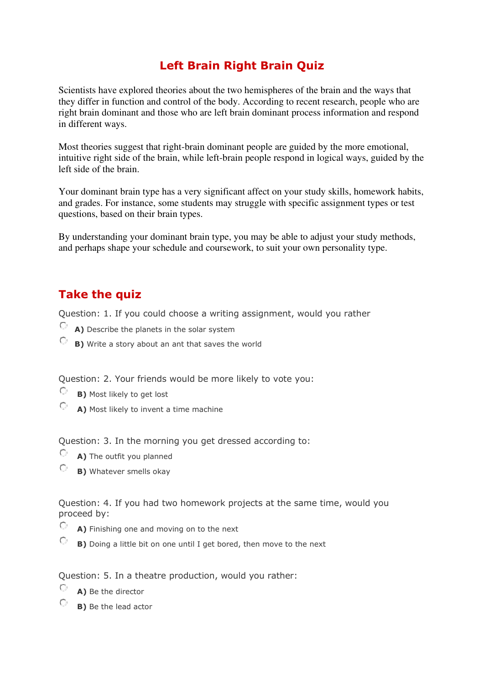# **Left Brain Right Brain Quiz**

Scientists have explored theories about the two hemispheres of the brain and the ways that they differ in function and control of the body. According to recent research, people who are right brain dominant and those who are left brain dominant process information and respond in different ways.

Most theories suggest that right-brain dominant people are guided by the more emotional, intuitive right side of the brain, while left-brain people respond in logical ways, guided by the left side of the brain.

Your [dominant brain type](http://psychology.about.com/od/cognitivepsychology/a/left-brain-right-brain.htm) has a very significant affect on your [study skills,](http://homeworktips.about.com/od/homeworkhelp/tp/Studyskills.htm) [homework habits,](http://homeworktips.about.com/od/homeworkhelp/tp/habits.htm) and grades. For instance, some students may struggle with specific assignment types or test questions, based on their brain types.

By understanding your dominant brain type, you may be able to adjust your study methods, and perhaps shape your schedule and coursework, to suit your own personality type.

## **Take the quiz**

Question: 1. If you could choose a writing assignment, would you rather

- **A)** Describe the planets in the solar system
- **B)** Write a story about an ant that saves the world

Question: 2. Your friends would be more likely to vote you:

- $\circ$ **B)** Most likely to get lost
- $\bigcirc$  **A)** Most likely to invent a time machine

Question: 3. In the morning you get dressed according to:

- $\circ$  **A)** The outfit you planned
- **B)** Whatever smells okay

Question: 4. If you had two homework projects at the same time, would you proceed by:

- $\circ$  **A)** Finishing one and moving on to the next
- $\circ$ **B)** Doing a little bit on one until I get bored, then move to the next

Question: 5. In a theatre production, would you rather:

- **A)** Be the director
- **B)** Be the lead actor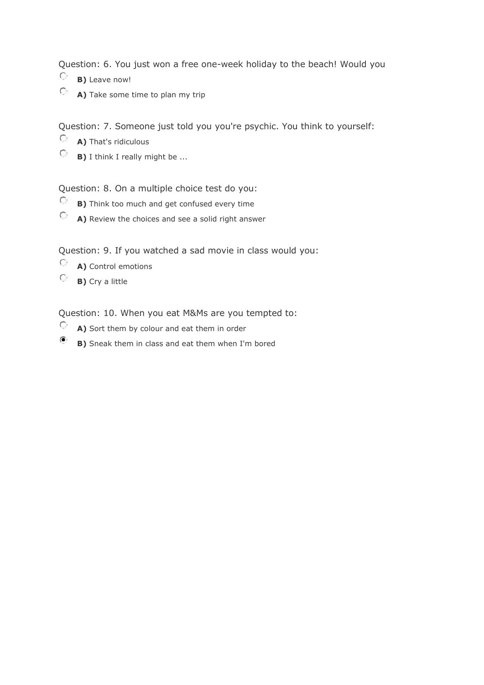Question: 6. You just won a free one-week holiday to the beach! Would you

- $\bigcirc$ **B)** Leave now!
- **A)** Take some time to plan my trip

Question: 7. Someone just told you you're psychic. You think to yourself:

- $\bigcirc$  **A)** That's ridiculous
- **B)** I think I really might be ...

#### Question: 8. On a multiple choice test do you:

- **B)** Think too much and get confused every time
- **A)** Review the choices and see a solid right answer

Question: 9. If you watched a sad movie in class would you:

- **A)** Control emotions
- **B)** Cry a little

Question: 10. When you eat M&Ms are you tempted to:

- $\circ$  **A)** Sort them by colour and eat them in order
- $\bullet$ **B)** Sneak them in class and eat them when I'm bored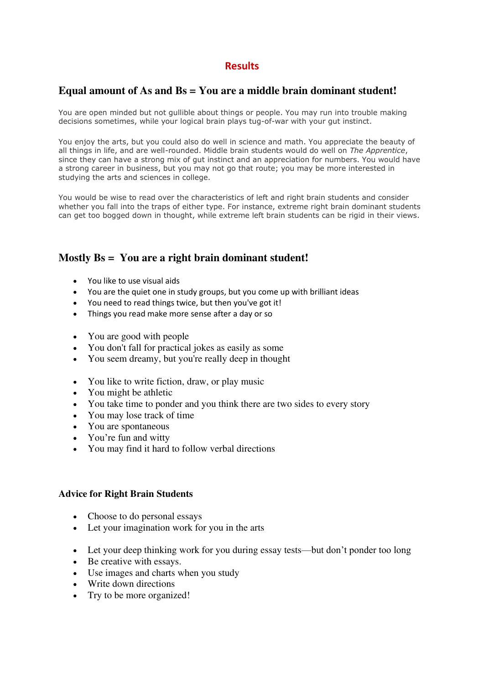### **Results**

#### **Equal amount of As and Bs = You are a middle brain dominant student!**

You are open minded but not gullible about things or people. You may run into trouble making decisions sometimes, while your logical brain plays tug-of-war with your gut instinct.

You enjoy the arts, but you could also do well in science and math. You appreciate the beauty of all things in life, and are well-rounded. Middle brain students would do well on *The Apprentice*, since they can have a strong mix of gut instinct and an appreciation for numbers. You would have a strong career in business, but you may not go that route; you may be more interested in studying the arts and sciences in college.

You would be wise to read over the characteristics of left and right brain students and consider whether you fall into the traps of either type. For instance, extreme right brain dominant students can get too bogged down in thought, while extreme left brain students can be rigid in their views.

#### **Mostly Bs = You are a right brain dominant student!**

- You like to use visual aids
- You are the quiet one in study groups, but you come up with brilliant ideas
- You need to read things twice, but then you've got it!
- Things you read make more sens[e after a day](http://homeworktips.about.com/od/schooltests/fl/Have-You-Learned-or-Memorized.htm) or so
- You are good with people
- You don't fall for practical jokes as easily as some
- You seem dreamy, but you're really deep in thought
- You like to write fiction, draw, or play music
- You might be athletic
- You take time to ponder and you think there are two sides to every story
- You may lose track of time
- You are spontaneous
- You're fun and witty
- You may find it hard to follow verbal directions

#### **Advice for Right Brain Students**

- Choose to do personal essays
- Let your imagination work for you in the arts
- Let your deep thinking work for you during essay tests—but don't ponder too long
- Be creative with essays.
- Use images and charts when you study
- Write down directions
- Try to be more organized!